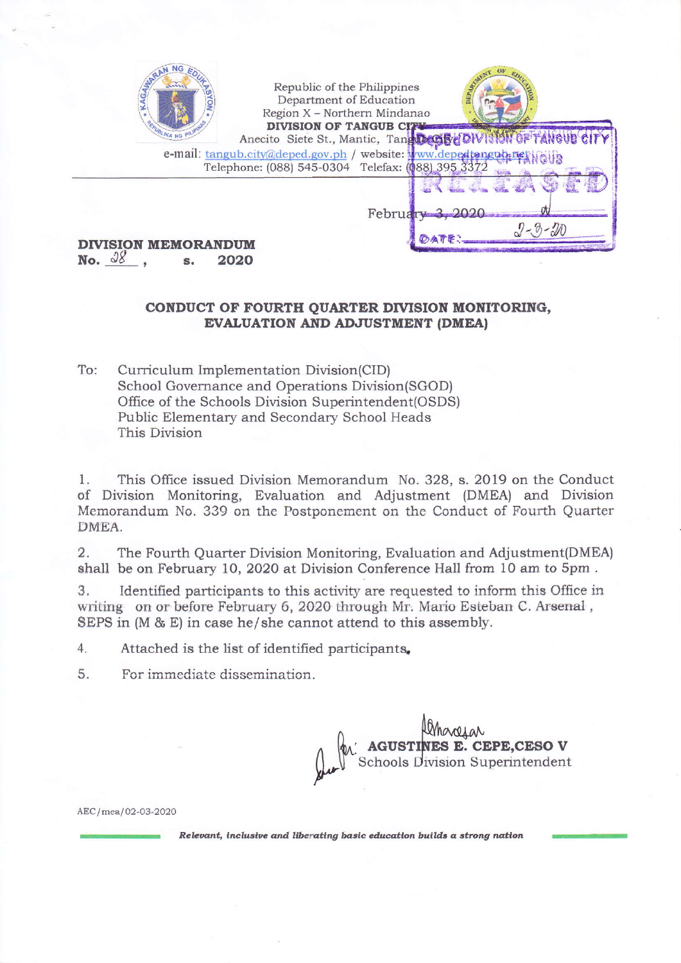| Republic of the Philippines                       | DEP <sub>dp</sub>                                               |
|---------------------------------------------------|-----------------------------------------------------------------|
| Department of Education                           | DIVISION OF TANGUB CITY                                         |
| Region X - Northern Mindanao                      | Anecito Siete St., Mantic, Tang DeCibe OW 310N OF TANGUE CITY   |
| Telephone: (088) 545-0304 Telefax: (088) 395 3372 | e-mail: tangub.city@deped.gov.ph / website: www.depedtengub.res |
| <b>ISION MEMORANDUM</b><br>2020<br>No.            | February -                                                      |

## CONDUCT OF FOURTH OUARTER DIVISION MONITORING. **EVALUATION AND ADJUSTMENT (DMEA)**

To: Curriculum Implementation Division(CID) School Governance and Operations Division(SGOD) Office of the Schools Division Superintendent(OSDS) Public Elementary and Secondary School Heads This Division

This Office issued Division Memorandum No. 328, s. 2019 on the Conduct  $1.$ of Division Monitoring, Evaluation and Adjustment (DMEA) and Division Memorandum No. 339 on the Postponement on the Conduct of Fourth Quarter DMEA.

 $\overline{2}$ . The Fourth Quarter Division Monitoring, Evaluation and Adjustment(DMEA) shall be on February 10, 2020 at Division Conference Hall from 10 am to 5pm.

Identified participants to this activity are requested to inform this Office in 3. writing on or before February 6, 2020 through Mr. Mario Esteban C. Arsenal, SEPS in (M & E) in case he/she cannot attend to this assembly.

 $4.$ Attached is the list of identified participants.

For immediate dissemination. 5.

MARIAN<br>AGUSTINES E. CEPE, CESO V<br>Schools Division Superintendent

AEC/mea/02-03-2020

Relevant, inclusive and liberating basic education builds a strong nation